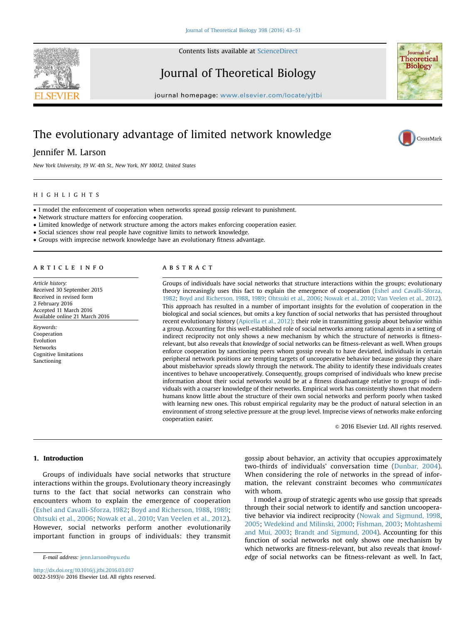

Contents lists available at [ScienceDirect](www.sciencedirect.com/science/journal/00225193)

# Journal of Theoretical Biology



CrossMark

journal homepage: <www.elsevier.com/locate/yjtbi>

# The evolutionary advantage of limited network knowledge

# Jennifer M. Larson

New York University, 19 W. 4th St., New York, NY 10012, United States

# **HIGHTS**

I model the enforcement of cooperation when networks spread gossip relevant to punishment.

- Network structure matters for enforcing cooperation.
- Limited knowledge of network structure among the actors makes enforcing cooperation easier.
- Social sciences show real people have cognitive limits to network knowledge.
- Groups with imprecise network knowledge have an evolutionary fitness advantage.

#### article info

Article history: Received 30 September 2015 Received in revised form 2 February 2016 Accepted 11 March 2016 Available online 21 March 2016

Keywords: Cooperation Evolution Networks Cognitive limitations Sanctioning

# **ABSTRACT**

Groups of individuals have social networks that structure interactions within the groups; evolutionary theory increasingly uses this fact to explain the emergence of cooperation [\(Eshel and Cavalli-Sforza,](#page-8-0) [1982;](#page-8-0) [Boyd and Richerson, 1988](#page-8-0), [1989;](#page-8-0) [Ohtsuki et al., 2006](#page-8-0); [Nowak et al., 2010](#page-8-0); [Van Veelen et al., 2012](#page-8-0)). This approach has resulted in a number of important insights for the evolution of cooperation in the biological and social sciences, but omits a key function of social networks that has persisted throughout recent evolutionary history [\(Apicella et al., 2012\)](#page-7-0): their role in transmitting gossip about behavior within a group. Accounting for this well-established role of social networks among rational agents in a setting of indirect reciprocity not only shows a new mechanism by which the structure of networks is fitnessrelevant, but also reveals that knowledge of social networks can be fitness-relevant as well. When groups enforce cooperation by sanctioning peers whom gossip reveals to have deviated, individuals in certain peripheral network positions are tempting targets of uncooperative behavior because gossip they share about misbehavior spreads slowly through the network. The ability to identify these individuals creates incentives to behave uncooperatively. Consequently, groups comprised of individuals who knew precise information about their social networks would be at a fitness disadvantage relative to groups of individuals with a coarser knowledge of their networks. Empirical work has consistently shown that modern humans know little about the structure of their own social networks and perform poorly when tasked with learning new ones. This robust empirical regularity may be the product of natural selection in an environment of strong selective pressure at the group level. Imprecise views of networks make enforcing cooperation easier.

 $\odot$  2016 Elsevier Ltd. All rights reserved.

# 1. Introduction

Groups of individuals have social networks that structure interactions within the groups. Evolutionary theory increasingly turns to the fact that social networks can constrain who encounters whom to explain the emergence of cooperation ([Eshel and Cavalli-Sforza, 1982](#page-8-0); [Boyd and Richerson, 1988](#page-8-0), [1989;](#page-8-0) [Ohtsuki et al., 2006](#page-8-0); [Nowak et al., 2010;](#page-8-0) [Van Veelen et al., 2012\)](#page-8-0). However, social networks perform another evolutionarily important function in groups of individuals: they transmit

E-mail address: [jenn.larson@nyu.edu](mailto:jenn.larson@nyu.edu)

<http://dx.doi.org/10.1016/j.jtbi.2016.03.017> 0022-5193/@ 2016 Elsevier Ltd. All rights reserved. gossip about behavior, an activity that occupies approximately two-thirds of individuals' conversation time ([Dunbar, 2004](#page-8-0)). When considering the role of networks in the spread of information, the relevant constraint becomes who communicates with whom.

I model a group of strategic agents who use gossip that spreads through their social network to identify and sanction uncooperative behavior via indirect reciprocity ([Nowak and Sigmund, 1998,](#page-8-0) [2005;](#page-8-0) [Wedekind and Milinski, 2000;](#page-8-0) [Fishman, 2003;](#page-8-0) [Mohtashemi](#page-8-0) [and Mui, 2003;](#page-8-0) [Brandt and Sigmund, 2004\)](#page-8-0). Accounting for this function of social networks not only shows one mechanism by which networks are fitness-relevant, but also reveals that knowledge of social networks can be fitness-relevant as well. In fact,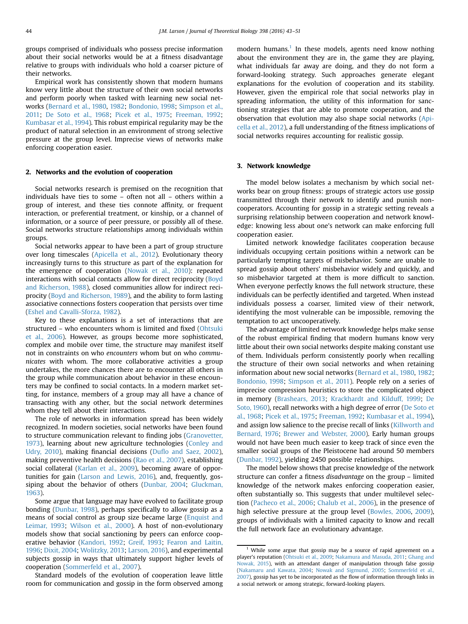groups comprised of individuals who possess precise information about their social networks would be at a fitness disadvantage relative to groups with individuals who hold a coarser picture of their networks.

Empirical work has consistently shown that modern humans know very little about the structure of their own social networks and perform poorly when tasked with learning new social networks ([Bernard et al., 1980](#page-7-0), [1982](#page-7-0); [Bondonio, 1998;](#page-7-0) [Simpson et al.,](#page-8-0) [2011;](#page-8-0) [De Soto et al., 1968](#page-8-0); [Picek et al., 1975](#page-8-0); [Freeman, 1992;](#page-8-0) [Kumbasar et al., 1994\)](#page-8-0). This robust empirical regularity may be the product of natural selection in an environment of strong selective pressure at the group level. Imprecise views of networks make enforcing cooperation easier.

### 2. Networks and the evolution of cooperation

Social networks research is premised on the recognition that individuals have ties to some – often not all – others within a group of interest, and these ties connote affinity, or frequent interaction, or preferential treatment, or kinship, or a channel of information, or a source of peer pressure, or possibly all of these. Social networks structure relationships among individuals within groups.

Social networks appear to have been a part of group structure over long timescales [\(Apicella et al., 2012\)](#page-7-0). Evolutionary theory increasingly turns to this structure as part of the explanation for the emergence of cooperation [\(Nowak et al., 2010\)](#page-8-0): repeated interactions with social contacts allow for direct reciprocity ([Boyd](#page-8-0) [and Richerson, 1988\)](#page-8-0), closed communities allow for indirect reciprocity ([Boyd and Richerson, 1989\)](#page-8-0), and the ability to form lasting associative connections fosters cooperation that persists over time ([Eshel and Cavalli-Sforza, 1982](#page-8-0)).

Key to these explanations is a set of interactions that are structured – who encounters whom is limited and fixed [\(Ohtsuki](#page-8-0) [et al., 2006](#page-8-0)). However, as groups become more sophisticated, complex and mobile over time, the structure may manifest itself not in constraints on who encounters whom but on who communicates with whom. The more collaborative activities a group undertakes, the more chances there are to encounter all others in the group while communication about behavior in these encounters may be confined to social contacts. In a modern market setting, for instance, members of a group may all have a chance of transacting with any other, but the social network determines whom they tell about their interactions.

The role of networks in information spread has been widely recognized. In modern societies, social networks have been found to structure communication relevant to finding jobs [\(Granovetter,](#page-8-0) [1973\)](#page-8-0), learning about new agriculture technologies [\(Conley and](#page-8-0) [Udry, 2010](#page-8-0)), making financial decisions (Dufl[o and Saez, 2002\)](#page-8-0), making preventive health decisions ([Rao et al., 2007](#page-8-0)), establishing social collateral [\(Karlan et al., 2009\)](#page-8-0), becoming aware of opportunities for gain ([Larson and Lewis, 2016\)](#page-8-0), and, frequently, gossiping about the behavior of others ([Dunbar, 2004](#page-8-0); [Gluckman,](#page-8-0) [1963](#page-8-0)).

Some argue that language may have evolved to facilitate group bonding [\(Dunbar, 1998\)](#page-8-0), perhaps specifically to allow gossip as a means of social control as group size became large [\(Enquist and](#page-8-0) [Leimar, 1993](#page-8-0); [Wilson et al., 2000\)](#page-8-0). A host of non-evolutionary models show that social sanctioning by peers can enforce cooperative behavior ([Kandori, 1992;](#page-8-0) [Greif, 1993;](#page-8-0) [Fearon and Laitin,](#page-8-0) [1996](#page-8-0); [Dixit, 2004;](#page-8-0) [Wolitzky, 2013](#page-8-0); [Larson, 2016](#page-8-0)), and experimental subjects gossip in ways that ultimately support higher levels of cooperation ([Sommerfeld et al., 2007](#page-8-0)).

Standard models of the evolution of cooperation leave little room for communication and gossip in the form observed among modern humans.<sup>1</sup> In these models, agents need know nothing about the environment they are in, the game they are playing, what individuals far away are doing, and they do not form a forward-looking strategy. Such approaches generate elegant explanations for the evolution of cooperation and its stability. However, given the empirical role that social networks play in spreading information, the utility of this information for sanctioning strategies that are able to promote cooperation, and the observation that evolution may also shape social networks ([Api](#page-7-0)[cella et al., 2012](#page-7-0)), a full understanding of the fitness implications of social networks requires accounting for realistic gossip.

#### 3. Network knowledge

The model below isolates a mechanism by which social networks bear on group fitness: groups of strategic actors use gossip transmitted through their network to identify and punish noncooperators. Accounting for gossip in a strategic setting reveals a surprising relationship between cooperation and network knowledge: knowing less about one's network can make enforcing full cooperation easier.

Limited network knowledge facilitates cooperation because individuals occupying certain positions within a network can be particularly tempting targets of misbehavior. Some are unable to spread gossip about others' misbehavior widely and quickly, and so misbehavior targeted at them is more difficult to sanction. When everyone perfectly knows the full network structure, these individuals can be perfectly identified and targeted. When instead individuals possess a coarser, limited view of their network, identifying the most vulnerable can be impossible, removing the temptation to act uncooperatively.

The advantage of limited network knowledge helps make sense of the robust empirical finding that modern humans know very little about their own social networks despite making constant use of them. Individuals perform consistently poorly when recalling the structure of their own social networks and when retaining information about new social networks [\(Bernard et al., 1980](#page-7-0), [1982;](#page-7-0) [Bondonio, 1998](#page-7-0); [Simpson et al., 2011](#page-8-0)). People rely on a series of imprecise compression heuristics to store the complicated object in memory ([Brashears, 2013](#page-8-0); [Krackhardt and Kilduff, 1999](#page-8-0); [De](#page-8-0) [Soto, 1960](#page-8-0)), recall networks with a high degree of error [\(De Soto et](#page-8-0) [al., 1968;](#page-8-0) [Picek et al., 1975;](#page-8-0) [Freeman, 1992](#page-8-0); [Kumbasar et al., 1994\)](#page-8-0), and assign low salience to the precise recall of links ([Killworth and](#page-8-0) [Bernard, 1976;](#page-8-0) [Brewer and Webster, 2000](#page-8-0)). Early human groups would not have been much easier to keep track of since even the smaller social groups of the Pleistocene had around 50 members ([Dunbar, 1992](#page-8-0)), yielding 2450 possible relationships.

The model below shows that precise knowledge of the network structure can confer a fitness disadvantage on the group – limited knowledge of the network makes enforcing cooperation easier, often substantially so. This suggests that under multilevel selection ([Pacheco et al., 2006;](#page-8-0) [Chalub et al., 2006\)](#page-8-0), in the presence of high selective pressure at the group level [\(Bowles, 2006](#page-8-0), [2009\)](#page-8-0), groups of individuals with a limited capacity to know and recall the full network face an evolutionary advantage.

 $1$  While some argue that gossip may be a source of rapid agreement on a player's reputation [\(Ohtsuki et al., 2009;](#page-8-0) [Nakamura and Masuda, 2011](#page-8-0); [Ghang and](#page-8-0) [Nowak, 2015](#page-8-0)), with an attendant danger of manipulation through false gossip [\(Nakamaru and Kawata, 2004](#page-8-0); [Nowak and Sigmund, 2005;](#page-8-0) [Sommerfeld et al.,](#page-8-0) [2007](#page-8-0)), gossip has yet to be incorporated as the flow of information through links in a social network or among strategic, forward-looking players.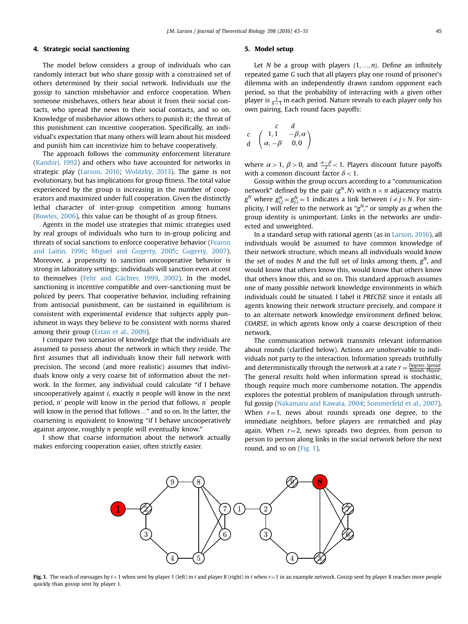# 4. Strategic social sanctioning

The model below considers a group of individuals who can randomly interact but who share gossip with a constrained set of others determined by their social network. Individuals use the gossip to sanction misbehavior and enforce cooperation. When someone misbehaves, others hear about it from their social contacts, who spread the news to their social contacts, and so on. Knowledge of misbehavior allows others to punish it; the threat of this punishment can incentive cooperation. Specifically, an individual's expectation that many others will learn about his misdeed and punish him can incentivize him to behave cooperatively.

The approach follows the community enforcement literature ([Kandori, 1992\)](#page-8-0) and others who have accounted for networks in strategic play ([Larson, 2016](#page-8-0); [Wolitzky, 2013\)](#page-8-0). The game is not evolutionary, but has implications for group fitness. The total value experienced by the group is increasing in the number of cooperators and maximized under full cooperation. Given the distinctly lethal character of inter-group competition among humans ([Bowles, 2006](#page-8-0)), this value can be thought of as group fitness.

Agents in the model use strategies that mimic strategies used by real groups of individuals who turn to in-group policing and threats of social sanctions to enforce cooperative behavior ([Fearon](#page-8-0) [and Laitin, 1996](#page-8-0); [Miguel and Gugerty, 2005](#page-8-0); [Gugerty, 2007\)](#page-8-0). Moreover, a propensity to sanction uncooperative behavior is strong in laboratory settings; individuals will sanction even at cost to themselves ([Fehr and Gächter, 1999](#page-8-0), [2002\)](#page-8-0). In the model, sanctioning is incentive compatible and over-sanctioning must be policed by peers. That cooperative behavior, including refraining from antisocial punishment, can be sustained in equilibrium is consistent with experimental evidence that subjects apply punishment in ways they believe to be consistent with norms shared among their group [\(Ertan et al., 2009](#page-8-0)).

I compare two scenarios of knowledge that the individuals are assumed to possess about the network in which they reside. The first assumes that all individuals know their full network with precision. The second (and more realistic) assumes that individuals know only a very coarse bit of information about the network. In the former, any individual could calculate "if I behave uncooperatively against  $i$ , exactly  $n$  people will know in the next period,  $n'$  people will know in the period that follows,  $n'$  people will know in the period that follows…" and so on. In the latter, the coarsening is equivalent to knowing "if I behave uncooperatively against anyone, roughly n people will eventually know."

I show that coarse information about the network actually makes enforcing cooperation easier, often strictly easier.

# 5. Model setup

Let N be a group with players  $\{1, ..., n\}$ . Define an infinitely repeated game G such that all players play one round of prisoner's dilemma with an independently drawn random opponent each period, so that the probability of interacting with a given other player is  $\frac{1}{n-1}$  in each period. Nature reveals to each player only his own pairing. Each round faces payoffs:

$$
\begin{array}{cc} & c & d \\ c & \begin{pmatrix} 1,1 & -\beta,\alpha \\ \alpha,-\beta & 0,0 \end{pmatrix} \end{array}
$$

where  $\alpha$  > 1,  $\beta$  > 0, and  $\frac{\alpha-\beta}{2}$  < 1. Players discount future payoffs with a common discount factor  $\delta$  < 1.

Gossip within the group occurs according to a "communication network" defined by the pair  $(g^N, N)$  with  $n \times n$  adjacency matrix  $g^N$  where  $g_{ij}^N = g_{ji}^N = 1$  indicates a link between  $i \neq j \in N$ . For simplicity, I will refer to the network as " $g^N$ ," or simply as g when the group identity is unimportant. Links in the networks are undirected and unweighted.

In a standard setup with rational agents (as in [Larson, 2016](#page-8-0)), all individuals would be assumed to have common knowledge of their network structure, which means all individuals would know the set of nodes N and the full set of links among them,  $g<sup>N</sup>$ , and would know that others know this, would know that others know that others know this, and so on. This standard approach assumes one of many possible network knowledge environments in which individuals could be situated. I label it PRECISE since it entails all agents knowing their network structure precisely, and compare it to an alternate network knowledge environment defined below, COARSE, in which agents know only a coarse description of their network.

The communication network transmits relevant information about rounds (clarified below). Actions are unobservable to individuals not party to the interaction. Information spreads truthfully and deterministically through the network at a rate  $r = \frac{Degree}{Round}$ <br>The general results hold when information entool is stochastic The general results hold when information spread is stochastic, though require much more cumbersome notation. The appendix explores the potential problem of manipulation through untruthful gossip ([Nakamaru and Kawata, 2004](#page-8-0); [Sommerfeld et al., 2007\)](#page-8-0). When  $r=1$ , news about rounds spreads one degree, to the immediate neighbors, before players are rematched and play again. When  $r=2$ , news spreads two degrees, from person to person to person along links in the social network before the next round, and so on (Fig. 1).



Fig. 1. The reach of messages by  $t+1$  when sent by player 1 (left) in t and player 8 (right) in t when  $r=1$  in an example network. Gossip sent by player 8 reaches more people quickly than gossip sent by player 1.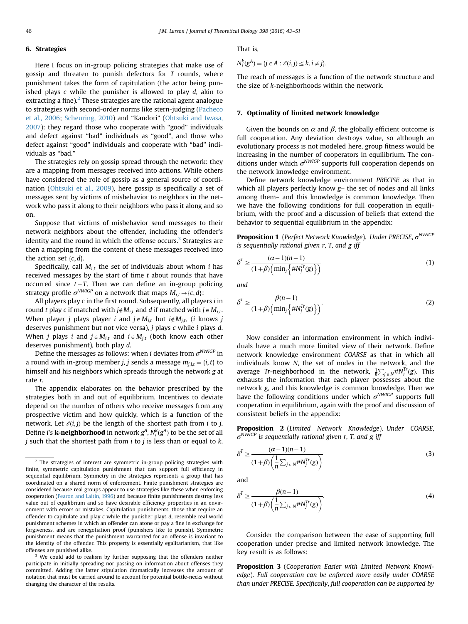# <span id="page-3-0"></span>6. Strategies

Here I focus on in-group policing strategies that make use of gossip and threaten to punish defectors for T rounds, where punishment takes the form of capitulation (the actor being punished plays  $c$  while the punisher is allowed to play  $d$ , akin to extracting a fine). $2$  These strategies are the rational agent analogue to strategies with second-order norms like stern-judging [\(Pacheco](#page-8-0) [et al., 2006](#page-8-0); [Scheuring, 2010](#page-8-0)) and "Kandori" [\(Ohtsuki and Iwasa,](#page-8-0) [2007\)](#page-8-0): they regard those who cooperate with "good" individuals and defect against "bad" individuals as "good", and those who defect against "good" individuals and cooperate with "bad" individuals as "bad."

The strategies rely on gossip spread through the network: they are a mapping from messages received into actions. While others have considered the role of gossip as a general source of coordination ([Ohtsuki et al., 2009\)](#page-8-0), here gossip is specifically a set of messages sent by victims of misbehavior to neighbors in the network who pass it along to their neighbors who pass it along and so on.

Suppose that victims of misbehavior send messages to their network neighbors about the offender, including the offender's identity and the round in which the offense occurs.<sup>3</sup> Strategies are then a mapping from the content of these messages received into the action set  $\{c, d\}$ .

Specifically, call  $M_{i,t}$  the set of individuals about whom i has received messages by the start of time  $t$  about rounds that have occurred since  $t-T$ . Then we can define an in-group policing strategy profile  $\sigma^{NWIGP}$  on a network that maps  $M_{it} \rightarrow \{c, d\}$ :

All players play  $c$  in the first round. Subsequently, all players  $i$  in round t play c if matched with  $j \notin M_{i,t}$  and d if matched with  $j \in M_{i,t}$ . When player j plays player i and  $j \in M_{i,t}$  but  $i \notin M_{i,t}$ , (i knows j deserves punishment but not vice versa), j plays c while i plays d. When *j* plays *i* and  $j \in M_{i,t}$  and  $i \in M_{i,t}$  (both know each other deserves punishment), both play d.

Define the messages as follows: when *i* deviates from  $\sigma^{NWIGP}$  in a round with in-group member *j*, *j* sends a message  $m_{j,i,t} = \{i, t\}$  to himself and his neighbors which spreads through the network g at rate r.

The appendix elaborates on the behavior prescribed by the strategies both in and out of equilibrium. Incentives to deviate depend on the number of others who receive messages from any prospective victim and how quickly, which is a function of the network. Let  $\ell(i, j)$  be the length of the shortest path from i to j. Define *i*'s **k-neighborhood** in network  $g^A$ ,  $N_i^k(g^A)$  to be the set of all i such that the shortest path from *i* to *i* is loss than or gould to *k*  $j$  such that the shortest path from  $i$  to  $j$  is less than or equal to  $k$ . That is,

 $N_i^k(g^A) = \{j \in A : \ell(i,j) \leq k, i \neq j\}.$ 

The reach of messages is a function of the network structure and the size of k-neighborhoods within the network.

#### 7. Optimality of limited network knowledge

Given the bounds on  $\alpha$  and  $\beta$ , the globally efficient outcome is full cooperation. Any deviation destroys value, so although an evolutionary process is not modeled here, group fitness would be increasing in the number of cooperators in equilibrium. The conditions under which  $\sigma^{NWIGP}$  supports full cooperation depends on the network knowledge environment.

Define network knowledge environment PRECISE as that in which all players perfectly know g- the set of nodes and all links among them– and this knowledge is common knowledge. Then we have the following conditions for full cooperation in equilibrium, with the proof and a discussion of beliefs that extend the behavior to sequential equilibrium in the appendix:

**Proposition 1** (Perfect Network Knowledge). Under PRECISE, σ<sup>NWIGP</sup> is sequentially rational given r, T, and g iff

$$
\delta^T \ge \frac{(\alpha - 1)(n - 1)}{(1 + \beta)\left(\min_j \left\{\#N_j^{Tr}(g)\right\}\right)}
$$
(1)

and

$$
\delta^T \ge \frac{\beta(n-1)}{(1+\beta)\left(\min_j \left\{ \#N_j^{\{Tr}}(g)\right\}\right)}.
$$
\n(2)

Now consider an information environment in which individuals have a much more limited view of their network. Define network knowledge environment COARSE as that in which all individuals know N, the set of nodes in the network, and the average Tr-neighborhood in the network,  $\frac{1}{n} \sum_{j \in N} H N_j^{Tr}(g)$ . This exhausts the information that each player possesses about the network g, and this knowledge is common knowledge. Then we have the following conditions under which  $\sigma^{NWIGP}$  supports full cooperation in equilibrium, again with the proof and discussion of consistent beliefs in the appendix:

Proposition 2 (Limited Network Knowledge). Under COARSE,  $\sigma^{\text{NWIGP}}$  is sequentially rational given r, T, and g iff

$$
\delta^T \ge \frac{(\alpha - 1)(n - 1)}{(1 + \beta)\left(\frac{1}{n}\sum_{j \in N} \sharp N_j^{\text{Tr}}(g)\right)}
$$
(3)

and

$$
\delta^T \ge \frac{\beta(n-1)}{(1+\beta)\left(\frac{1}{n}\sum_{j\in N} \sharp N_j^{Tr}(g)\right)}.
$$
\n(4)

Consider the comparison between the ease of supporting full cooperation under precise and limited network knowledge. The key result is as follows:

Proposition 3 (Cooperation Easier with Limited Network Knowledge). Full cooperation can be enforced more easily under COARSE than under PRECISE. Specifically, full cooperation can be supported by

 $2$  The strategies of interest are symmetric in-group policing strategies with finite, symmetric capitulation punishment that can support full efficiency in sequential equilibrium. Symmetry in the strategies represents a group that has coordinated on a shared norm of enforcement. Finite punishment strategies are considered because real groups appear to use strategies like these when enforcing cooperation [\(Fearon and Laitin, 1996](#page-8-0)) and because finite punishments destroy less value out of equilibrium and so have desirable efficiency properties in an environment with errors or mistakes. Capitulation punishments, those that require an offender to capitulate and play  $c$  while the punisher plays  $d$ , resemble real world punishment schemes in which an offender can atone or pay a fine in exchange for forgiveness, and are renegotiation proof (punishers like to punish). Symmetric punishment means that the punishment warranted for an offense is invariant to the identity of the offender. This property is essentially egalitarianism, that like offenses are punished alike.

<sup>&</sup>lt;sup>3</sup> We could add to realism by further supposing that the offenders neither participate in initially spreading nor passing on information about offenses they committed. Adding the latter stipulation dramatically increases the amount of notation that must be carried around to account for potential bottle-necks without changing the character of the results.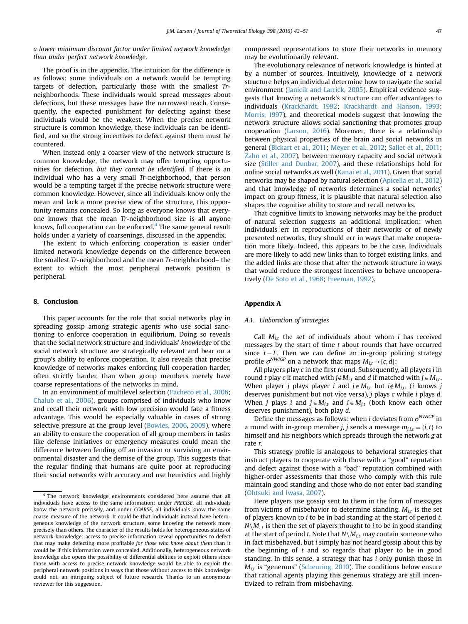a lower minimum discount factor under limited network knowledge than under perfect network knowledge.

The proof is in the appendix. The intuition for the difference is as follows: some individuals on a network would be tempting targets of defection, particularly those with the smallest Trneighborhoods. These individuals would spread messages about defections, but these messages have the narrowest reach. Consequently, the expected punishment for defecting against these individuals would be the weakest. When the precise network structure is common knowledge, these individuals can be identified, and so the strong incentives to defect against them must be countered.

When instead only a coarser view of the network structure is common knowledge, the network may offer tempting opportunities for defection, but they cannot be identified. If there is an individual who has a very small Tr-neighborhood, that person would be a tempting target if the precise network structure were common knowledge. However, since all individuals know only the mean and lack a more precise view of the structure, this opportunity remains concealed. So long as everyone knows that everyone knows that the mean Tr-neighborhood size is all anyone knows, full cooperation can be enforced.<sup>4</sup> The same general result holds under a variety of coarsenings, discussed in the appendix.

The extent to which enforcing cooperation is easier under limited network knowledge depends on the difference between the smallest Tr-neighborhood and the mean Tr-neighborhood– the extent to which the most peripheral network position is peripheral.

### 8. Conclusion

This paper accounts for the role that social networks play in spreading gossip among strategic agents who use social sanctioning to enforce cooperation in equilibrium. Doing so reveals that the social network structure and individuals' knowledge of the social network structure are strategically relevant and bear on a group's ability to enforce cooperation. It also reveals that precise knowledge of networks makes enforcing full cooperation harder, often strictly harder, than when group members merely have coarse representations of the networks in mind.

In an environment of multilevel selection [\(Pacheco et al., 2006;](#page-8-0) [Chalub et al., 2006\)](#page-8-0), groups comprised of individuals who know and recall their network with low precision would face a fitness advantage. This would be especially valuable in cases of strong selective pressure at the group level ([Bowles, 2006,](#page-8-0) [2009\)](#page-8-0), where an ability to ensure the cooperation of all group members in tasks like defense initiatives or emergency measures could mean the difference between fending off an invasion or surviving an environmental disaster and the demise of the group. This suggests that the regular finding that humans are quite poor at reproducing their social networks with accuracy and use heuristics and highly compressed representations to store their networks in memory may be evolutionarily relevant.

The evolutionary relevance of network knowledge is hinted at by a number of sources. Intuitively, knowledge of a network structure helps an individual determine how to navigate the social environment ([Janicik and Larrick, 2005](#page-8-0)). Empirical evidence suggests that knowing a network's structure can offer advantages to individuals [\(Krackhardt, 1992](#page-8-0); [Krackhardt and Hanson, 1993;](#page-8-0) [Morris, 1997](#page-8-0)), and theoretical models suggest that knowing the network structure allows social sanctioning that promotes group cooperation [\(Larson, 2016\)](#page-8-0). Moreover, there is a relationship between physical properties of the brain and social networks in general [\(Bickart et al., 2011;](#page-7-0) [Meyer et al., 2012](#page-8-0); [Sallet et al., 2011;](#page-8-0) [Zahn et al., 2007\)](#page-8-0), between memory capacity and social network size ([Stiller and Dunbar, 2007](#page-8-0)), and these relationships hold for online social networks as well ([Kanai et al., 2011\)](#page-8-0). Given that social networks may be shaped by natural selection ([Apicella et al., 2012\)](#page-7-0) and that knowledge of networks determines a social networks' impact on group fitness, it is plausible that natural selection also shapes the cognitive ability to store and recall networks.

That cognitive limits to knowing networks may be the product of natural selection suggests an additional implication: when individuals err in reproductions of their networks or of newly presented networks, they should err in ways that make cooperation more likely. Indeed, this appears to be the case. Individuals are more likely to add new links than to forget existing links, and the added links are those that alter the network structure in ways that would reduce the strongest incentives to behave uncooperatively [\(De Soto et al., 1968;](#page-8-0) [Freeman, 1992\)](#page-8-0).

# Appendix A

### A.1. Elaboration of strategies

Call  $M_{it}$  the set of individuals about whom i has received messages by the start of time  $t$  about rounds that have occurred since  $t-T$ . Then we can define an in-group policing strategy profile  $\sigma^{NWIGP}$  on a network that maps  $M_{i,t}\rightarrow{c,d}$ :

All players play c in the first round. Subsequently, all players *i* in round t play c if matched with  $j \notin M_{i,t}$  and d if matched with  $j \in M_{i,t}$ . When player *j* plays player *i* and  $j \in M_{it}$  but  $i \notin M_{it}$ , (*i* knows *j* deserves punishment but not vice versa), j plays c while i plays d. When *j* plays *i* and  $j \in M_{i,t}$  and  $i \in M_{j,t}$  (both know each other deserves punishment), both play d.

Define the messages as follows: when *i* deviates from  $\sigma^{N WIGP}$  in a round with in-group member *j*, *j* sends a message  $m_{i,i,t} = \{i,t\}$  to himself and his neighbors which spreads through the network g at rate r.

This strategy profile is analogous to behavioral strategies that instruct players to cooperate with those with a "good" reputation and defect against those with a "bad" reputation combined with higher-order assessments that those who comply with this rule maintain good standing and those who do not enter bad standing ([Ohtsuki and Iwasa, 2007](#page-8-0)).

Here players use gossip sent to them in the form of messages from victims of misbehavior to determine standing.  $M_{it}$  is the set of players known to  $i$  to be in bad standing at the start of period  $t$ .  $N\setminus M_{it}$  is then the set of players thought to *i* to be in good standing at the start of period t. Note that  $N\setminus M_{it}$  may contain someone who in fact misbehaved, but i simply has not heard gossip about this by the beginning of  $t$  and so regards that player to be in good standing. In this sense, a strategy that has  $i$  only punish those in  $M_{i,t}$  is "generous" ([Scheuring, 2010\)](#page-8-0). The conditions below ensure that rational agents playing this generous strategy are still incentivized to refrain from misbehaving.

<sup>&</sup>lt;sup>4</sup> The network knowledge environments considered here assume that all individuals have access to the same information: under PRECISE, all individuals know the network precisely, and under COARSE, all individuals know the same coarse measure of the network. It could be that individuals instead have heterogeneous knowledge of the network structure, some knowing the network more precisely than others. The character of the results holds for heterogeneous states of network knowledge: access to precise information reveal opportunities to defect that may make defecting more profitable for those who know about them than it would be if this information were concealed. Additionally, heterogeneous network knowledge also opens the possibility of differential abilities to exploit others since those with access to precise network knowledge would be able to exploit the peripheral network positions in ways that those without access to this knowledge could not, an intriguing subject of future research. Thanks to an anonymous reviewer for this suggestion.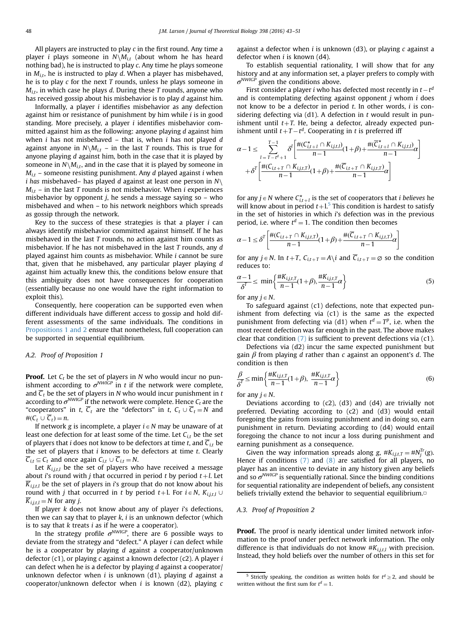All players are instructed to play  $c$  in the first round. Any time a player *i* plays someone in  $N \setminus M_{i,t}$  (about whom he has heard nothing bad), he is instructed to play c. Any time he plays someone in  $M_{it}$ , he is instructed to play d. When a player has misbehaved, he is to play  $c$  for the next  $T$  rounds, unless he plays someone in  $M_{i,t}$ , in which case he plays d. During these T rounds, anyone who has received gossip about his misbehavior is to play d against him.

Informally, a player i identifies misbehavior as any defection against him or resistance of punishment by him while  $i$  is in good standing. More precisely, a player i identifies misbehavior committed against him as the following: anyone playing d against him when  $i$  has not misbehaved  $-$  that is, when  $i$  has not played  $d$ against anyone in  $N\setminus M_{i,t}$  – in the last T rounds. This is true for anyone playing d against him, both in the case that it is played by someone in  $N\setminus M_{it}$ , and in the case that it is played by someone in  $M_{it}$  – someone resisting punishment. Any d played against *i* when *i* has misbehaved– has played d against at least one person in  $N \setminus N$  $M_{i,t}$  – in the last T rounds is not misbehavior. When *i* experiences misbehavior by opponent *j*, he sends a message saying so  $-$  who misbehaved and when – to his network neighbors which spreads as gossip through the network.

Key to the success of these strategies is that a player  $i$  can always identify misbehavior committed against himself. If he has misbehaved in the last  $T$  rounds, no action against him counts as misbehavior. If he has not misbehaved in the last T rounds, any d played against him counts as misbehavior. While i cannot be sure that, given that he misbehaved, any particular player playing d against him actually knew this, the conditions below ensure that this ambiguity does not have consequences for cooperation (essentially because no one would have the right information to exploit this).

Consequently, here cooperation can be supported even when different individuals have different access to gossip and hold different assessments of the same individuals. The conditions in [Propositions 1 and 2](#page-3-0) ensure that nonetheless, full cooperation can be supported in sequential equilibrium.

#### A.2. Proof of Proposition 1

**Proof.** Let  $C_t$  be the set of players in N who would incur no punishment according to  $\sigma^{NWGP}$  in t if the network were complete, and  $\overline{C}_t$  be the set of players in N who would incur punishment in t according to  $\sigma^{NWIGP}$  if the network were complete. Hence  $C_t$  are the "cooperators" in t,  $\overline{C}_t$  are the "defectors" in t,  $C_t \cup \overline{C}_t = N$  and # $(C_t \cup \overline{C}_t) = n$ .

If network g is incomplete, a player  $i \in N$  may be unaware of at least one defection for at least some of the time. Let  $C_{i,t}$  be the set of players that *i* does not know to be defectors at time *t*, and  $\overline{C}_{i,t}$  be the set of players that  $i$  knows to be defectors at time  $t$ . Clearly  $\overline{C}_{i,t} \subseteq C_t$  and once again  $C_{i,t} \cup \overline{C}_{i,t} = N$ .

Let  $K_{i,j,t,l}$  be the set of players who have received a message about *i*'s round with *j* that occurred in period *t* by period  $t + l$ . Let  $\overline{K}_{i,i}$  be the set of players in i's group that do not know about his round with *j* that occurred in *t* by period  $t+1$ . For  $i \in N$ ,  $K_{i,i,t,l} \cup$  $\overline{K}_{i,j,t,l} = N$  for any j.

If player  $k$  does not know about any of player  $i$ 's defections, then we can say that to player  $k$ ,  $i$  is an unknown defector (which is to say that  $k$  treats  $i$  as if he were a cooperator).

In the strategy profile  $\sigma^{NWIGP}$ , there are 6 possible ways to deviate from the strategy and "defect." A player i can defect while he is a cooperator by playing d against a cooperator/unknown defector (c1), or playing c against a known defector (c2). A player i can defect when he is a defector by playing d against a cooperator/ unknown defector when  $i$  is unknown (d1), playing  $d$  against a cooperator/unknown defector when  $i$  is known (d2), playing  $c$ 

against a defector when  $i$  is unknown (d3), or playing  $c$  against a defector when  $i$  is known (d4).

To establish sequential rationality, I will show that for any history and at any information set, a player prefers to comply with  $\sigma^{NWIGP}$  given the conditions above.

First consider a player  $i$  who has defected most recently in  $t-t^d$ and is contemplating defecting against opponent  $j$  whom  $i$  does not know to be a defector in period  $t$ . In other words,  $i$  is considering defecting via (d1). A defection in  $t$  would result in punishment until  $t+T$ . He, being a defector, already expected punishment until  $t+T-t^d$ . Cooperating in t is preferred iff

$$
\alpha - 1 \leq \sum_{l = T - t^{d} + 1}^{T - 1} \delta^{l} \left[ \frac{\#(C_{i,t+l}^{*} \cap K_{i,j,t,l})}{n - 1} (1 + \beta) + \frac{\#(\overline{C}_{i,t+l}^{*} \cap K_{i,j,t,l})}{n - 1} \alpha \right] + \delta^{T} \left[ \frac{\#(C_{i,t+T} \cap K_{i,j,t,T})}{n - 1} (1 + \beta) + \frac{\#(\overline{C}_{i,t+T} \cap K_{i,j,t,T})}{n - 1} \alpha \right]
$$

for any  $j \in N$  where  $C_{i,t+1}^*$  is the set of cooperators that *i believes* he<br>will know about in period  $t+1^5$  This condition is hardest to satisfy will know about in period  $t+1.5$  This condition is hardest to satisfy in the set of histories in which i's defection was in the previous period, i.e. where  $t^d = 1$ . The condition then becomes

$$
\alpha - 1 \leq \delta^T \left[ \frac{\#(C_{i,t+T} \cap K_{i,j,t,T})}{n-1} (1+\beta) + \frac{\#(\overline{C}_{i,t+T} \cap K_{i,j,t,T})}{n-1} \alpha \right]
$$

for any  $j \in N$ . In  $t+T$ ,  $C_{i,t+T} = A \setminus i$  and  $\overline{C}_{i,t+T} = \emptyset$  so the condition reduces to:

$$
\frac{\alpha - 1}{\delta^T} \le \min\left\{\frac{\#K_{ij,t,T}}{n-1}(1+\beta), \frac{\#K_{ij,t,T}}{n-1}\alpha\right\} \tag{5}
$$

for any  $j \in N$ .

To safeguard against (c1) defections, note that expected punishment from defecting via (c1) is the same as the expected punishment from defecting via (d1) when  $t^d = T^p$ , i.e. when the most recent defection was far enough in the nast. The above makes most recent defection was far enough in the past. The above makes clear that condition  $(7)$  is sufficient to prevent defections via  $(c1)$ .

Defections via (d2) incur the same expected punishment but gain  $\beta$  from playing d rather than c against an opponent's d. The condition is then

$$
\frac{\beta}{\delta^{T}} \le \min\left\{\frac{\#K_{ij,t,T}}{n-1}(1+\beta), \ \frac{\#K_{ij,t,T}}{n-1}\alpha\right\} \tag{6}
$$

for any  $j \in N$ .

Deviations according to  $(c2)$ ,  $(d3)$  and  $(d4)$  are trivially not preferred. Deviating according to (c2) and (d3) would entail foregoing the gains from issuing punishment and in doing so, earn punishment in return. Deviating according to (d4) would entail foregoing the chance to not incur a loss during punishment and earning punishment as a consequence.

Given the way information spreads along g,  $\#K_{ij,t,T} = \#N_j^{Tr}(g)$ <br>and if conditions (7) and (8) are satisfied for all players no Hence if conditions  $(7)$  and  $(8)$  are satisfied for all players, no player has an incentive to deviate in any history given any beliefs and so  $\sigma^{NWIGP}$  is sequentially rational. Since the binding conditions for sequential rationality are independent of beliefs, any consistent beliefs trivially extend the behavior to sequential equilibrium.□

# A.3. Proof of Proposition 2

**Proof.** The proof is nearly identical under limited network information to the proof under perfect network information. The only difference is that individuals do not know  $#K_{i,j,t,l}$  with precision. Instead, they hold beliefs over the number of others in this set for

<sup>&</sup>lt;sup>5</sup> Strictly speaking, the condition as written holds for  $t^d \geq 2$ , and should be written without the first sum for  $t^d = 1$ .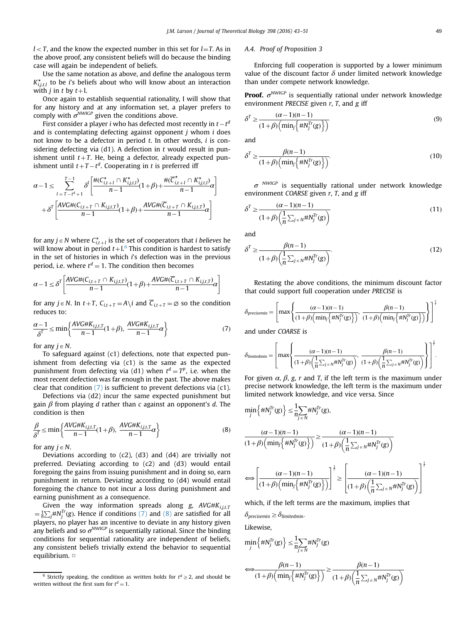<span id="page-6-0"></span> $l < T$ , and the know the expected number in this set for  $l=T$ . As in the above proof, any consistent beliefs will do because the binding case will again be independent of beliefs.

Use the same notation as above, and define the analogous term  $K_{i,j,t,l}^{\star}$  to be *i*'s beliefs about who will know about an interaction with *j* in *t* by  $t+1$ .

Once again to establish sequential rationality, I will show that for any history and at any information set, a player prefers to comply with  $\sigma^{NWIGP}$  given the conditions above.

First consider a player *i* who has defected most recently in  $t-t^d$ <br>dis contemplating defecting against opponent *i* whom *i* does and is contemplating defecting against opponent  $j$  whom  $i$  does not know to be a defector in period  $t$ . In other words,  $i$  is considering defecting via (d1). A defection in  $t$  would result in punishment until  $t+T$ . He, being a defector, already expected punishment until  $t+T-t^d$ . Cooperating in t is preferred iff

$$
\alpha - 1 \leq \sum_{l=T-t^{d}+1}^{T-1} \delta^{l} \left[ \frac{\#(C_{i,t+l}^{*} \cap K_{i,j,t,l}^{*})}{n-1} (1+\beta) + \frac{\#(\overline{C}_{i,t+l}^{*} \cap K_{i,j,t,l}^{*})}{n-1} \alpha \right] + \delta^{T} \left[ \frac{AVG\#(C_{i,t+T} \cap K_{i,j,t,T})}{n-1} (1+\beta) + \frac{AVG\#(\overline{C}_{i,t+T} \cap K_{i,j,t,T})}{n-1} \alpha \right]
$$

for any  $j \in N$  where  $C_{i,t+l}^*$  is the set of cooperators that *i believes* he will know about in period  $t + 1$ <sup>6</sup>. This condition is hardest to satisfy will know about in period  $t+1.6$  This condition is hardest to satisfy in the set of histories in which i's defection was in the previous period, i.e. where  $t^d = 1$ . The condition then becomes

$$
\alpha - 1 \le \delta^T \left[ \frac{AVG\#(C_{i,t+T} \cap K_{i,j,t,T})}{n-1} (1+\beta) + \frac{AVG\#(\overline{C}_{i,t+T} \cap K_{i,j,t,T})}{n-1} \alpha \right]
$$

for any  $j \in N$ . In  $t + T$ ,  $C_{i,t + T} = A \setminus i$  and  $\overline{C}_{i,t + T} = \emptyset$  so the condition reduces to:

$$
\frac{\alpha - 1}{\delta^T} \le \min\left\{\frac{AVG\#K_{i,j,t,T}}{n-1}(1+\beta), \frac{AVG\#K_{i,j,t,T}}{n-1}\alpha\right\} \tag{7}
$$

for any  $j \in N$ .

To safeguard against (c1) defections, note that expected punishment from defecting via (c1) is the same as the expected punishment from defecting via (d1) when  $t^d = T^p$ , i.e. when the most recent defection was far enough in the past. The above makes most recent defection was far enough in the past. The above makes clear that condition  $(7)$  is sufficient to prevent defections via  $(c1)$ .

Defections via (d2) incur the same expected punishment but gain  $\beta$  from playing d rather than c against an opponent's d. The condition is then

$$
\frac{\beta}{\delta^T} \le \min\left\{\frac{AVG\#K_{ij,t,T}}{n-1}(1+\beta), \frac{AVG\#K_{ij,t,T}}{n-1}\alpha\right\} \tag{8}
$$

for any  $j \in N$ .

Deviations according to (c2), (d3) and (d4) are trivially not preferred. Deviating according to (c2) and (d3) would entail foregoing the gains from issuing punishment and in doing so, earn punishment in return. Deviating according to (d4) would entail foregoing the chance to not incur a loss during punishment and earning punishment as a consequence.

Given the way information spreads along g,  $AVG#K_{i,j,t,T}$  $=\frac{1}{n}\sum_{j} #N_{j}^{Tr}(g)$ . Hence if conditions (7) and (8) are satisfied for all<br>players no player has an incentive to deviate in any history given players, no player has an incentive to deviate in any history given any beliefs and so  $\sigma^{NWIGP}$  is sequentially rational. Since the binding conditions for sequential rationality are independent of beliefs, any consistent beliefs trivially extend the behavior to sequential equilibrium. □

### A.4. Proof of Proposition 3

Enforcing full cooperation is supported by a lower minimum value of the discount factor  $\delta$  under limited network knowledge than under compete network knowledge.

**Proof.**  $\sigma^{NWIGP}$  is sequentially rational under network knowledge environment PRECISE given  $r$ ,  $T$ , and  $g$  iff

$$
\delta^T \ge \frac{(\alpha - 1)(n - 1)}{(1 + \beta)\left(\min_j \left\{\#N_j^{Tr}(g)\right\}\right)}
$$
(9)

and

$$
\delta^T \ge \frac{\beta(n-1)}{(1+\beta)\left(\min_j \left\{\#N_j^{Tr}(g)\right\}\right)}.
$$
\n(10)

 $\sigma$ <sup>NWIGP</sup> is sequentially rational under network knowledge environment COARSE given  $r$ ,  $T$ , and  $g$  iff

$$
\delta^T \ge \frac{(\alpha - 1)(n - 1)}{(1 + \beta)\left(\frac{1}{n}\sum_{j \in N} \#N_j^{Tr}(g)\right)}
$$
(11)

and

$$
\delta^T \ge \frac{\beta(n-1)}{(1+\beta)\left(\frac{1}{n}\sum_{j\in N} t N_j^{Tr}(g)\right)}.
$$
\n(12)

Restating the above conditions, the minimum discount factor that could support full cooperation under PRECISE is

$$
\delta_{precisemin} = \left[ \max \left\{ \frac{(\alpha - 1)(n - 1)}{(1 + \beta) (\min_j \{ \# N_j^{Tr}(\mathbf{g}) \})}, \frac{\beta(n - 1)}{(1 + \beta) (\min_j \{ \# N_j^{Tr}(\mathbf{g}) \})} \right\} \right]^{\frac{1}{2}}
$$

and under COARSE is

$$
\delta_{\text{limitedmin}} = \left[\max\left\{\frac{(\alpha - 1)(n - 1)}{(1 + \beta)\left(\frac{1}{n}\sum_{j \in N} t^{\text{H}} N_j^{\text{Tr}}(g)\right)}, \frac{\beta(n - 1)}{(1 + \beta)\left(\frac{1}{n}\sum_{j \in N} t^{\text{H}} N_j^{\text{Tr}}(g)\right)}\right\}\right]^{\frac{1}{T}}.
$$

For given  $\alpha$ ,  $\beta$ , g, r and T, if the left term is the maximum under precise network knowledge, the left term is the maximum under limited network knowledge, and vice versa. Since

$$
\begin{aligned}\n&\min_{j} \left\{ \#N_{j}^{Tr}(g) \right\} \leq \frac{1}{n} \sum_{j \in N} \#N_{j}^{Tr}(g), \\
&\frac{(\alpha - 1)(n - 1)}{(1 + \beta) \left( \min_{j} \left\{ \#N_{j}^{Tr}(g) \right\} \right)} \geq \frac{(\alpha - 1)(n - 1)}{(1 + \beta) \left( \frac{1}{n} \sum_{j \in N} \#N_{j}^{Tr}(g) \right)} \\
&\Longleftrightarrow \left[ \frac{(\alpha - 1)(n - 1)}{(1 + \beta) \left( \min_{j} \left\{ \#N_{j}^{Tr}(g) \right\} \right)} \right]^{\frac{1}{T}} \geq \left[ \frac{(\alpha - 1)(n - 1)}{(1 + \beta) \left( \frac{1}{n} \sum_{j \in N} \#N_{j}^{Tr}(g) \right)} \right]^{\frac{1}{T}}\n\end{aligned}
$$

which, if the left terms are the maximum, implies that

$$
\delta_{precisionin} \geq \delta_{limitedmin}.
$$
  
Likewise,

$$
\begin{aligned}\n&\min_{j} \left\{ \#N_{j}^{Tr}(g) \right\} \leq \frac{1}{n} \sum_{j \in N} \#N_{j}^{Tr}(g) \\
&\Longleftrightarrow \frac{\beta(n-1)}{(1+\beta)\left(\min_{j} \left\{ \#N_{j}^{Tr}(g) \right\}\right)} \geq \frac{\beta(n-1)}{(1+\beta)\left(\frac{1}{n}\sum_{j \in N} \#N_{j}^{Tr}(g)\right)}\n\end{aligned}
$$

<sup>&</sup>lt;sup>6</sup> Strictly speaking, the condition as written holds for  $t^d \geq 2$ , and should be written without the first sum for  $t^d = 1$ .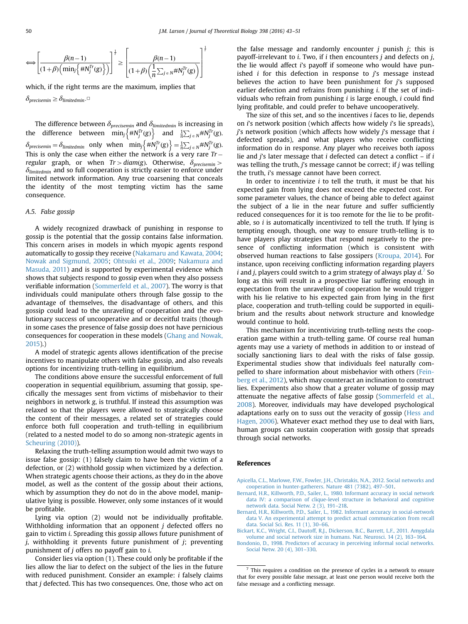1

<span id="page-7-0"></span>
$$
\Longleftrightarrow \left[\frac{\beta(n-1)}{(1+\beta)\left(\min_j\left\{\#N_j^{Tr}(g)\right\}\right)}\right]^{\frac{1}{T}} \geq \left[\frac{\beta(n-1)}{(1+\beta)\left(\frac{1}{n}\sum_{j\in N}\#N_j^{Tr}(g)\right)}\right]
$$

which, if the right terms are the maximum, implies that  $\delta_{\text{precision}} \geq \delta_{\text{limitedmin}}$ .

The difference between  $\delta_{\text{precision}}$  and  $\delta_{\text{limitedmin}}$  is increasing in the difference between  $\min_j \left\{ H N_j^{Tr}(g) \right\}$  and  $\frac{1}{n} \sum_{j \in N} H N_j^{Tr}(g)$ .  $\delta_{\text{precision}} = \delta_{\text{limitedmin}}$  only when  $\min_j \left\{ #N_j^{\text{Tr}}(g) \right\} = \frac{1}{n} \sum_{j \in N} #N_j^{\text{Tr}}(g)$ .<br>This is only the same when either the natural is a very name Tr This is only the case when either the network is a very rare  $Tr$ regular graph, or when  $Tr > diam(g)$ . Otherwise,  $\delta_{precision}$  $\delta$ <sub>limitedmin</sub> and so full cooperation is strictly easier to enforce under limited network information. Any true coarsening that conceals the identity of the most tempting victim has the same consequence.

# A.5. False gossip

A widely recognized drawback of punishing in response to gossip is the potential that the gossip contains false information. This concern arises in models in which myopic agents respond automatically to gossip they receive [\(Nakamaru and Kawata, 2004;](#page-8-0) [Nowak and Sigmund, 2005](#page-8-0); [Ohtsuki et al., 2009;](#page-8-0) [Nakamura and](#page-8-0) [Masuda, 2011](#page-8-0)) and is supported by experimental evidence which shows that subjects respond to gossip even when they also possess verifiable information ([Sommerfeld et al., 2007](#page-8-0)). The worry is that individuals could manipulate others through false gossip to the advantage of themselves, the disadvantage of others, and this gossip could lead to the unraveling of cooperation and the evolutionary success of uncooperative and or deceitful traits (though in some cases the presence of false gossip does not have pernicious consequences for cooperation in these models [\(Ghang and Nowak,](#page-8-0) [2015\)](#page-8-0).)

A model of strategic agents allows identification of the precise incentives to manipulate others with false gossip, and also reveals options for incentivizing truth-telling in equilibrium.

The conditions above ensure the successful enforcement of full cooperation in sequential equilibrium, assuming that gossip, specifically the messages sent from victims of misbehavior to their neighbors in network g, is truthful. If instead this assumption was relaxed so that the players were allowed to strategically choose the content of their messages, a related set of strategies could enforce both full cooperation and truth-telling in equilibrium (related to a nested model to do so among non-strategic agents in [Scheuring \(2010\)\)](#page-8-0).

Relaxing the truth-telling assumption would admit two ways to issue false gossip: (1) falsely claim to have been the victim of a defection, or (2) withhold gossip when victimized by a defection. When strategic agents choose their actions, as they do in the above model, as well as the content of the gossip about their actions, which by assumption they do not do in the above model, manipulative lying is possible. However, only some instances of it would be profitable.

Lying via option (2) would not be individually profitable. Withholding information that an opponent  $j$  defected offers no gain to victim i. Spreading this gossip allows future punishment of  $j$ , withholding it prevents future punishment of  $j$ ; preventing punishment of j offers no payoff gain to i.

Consider lies via option (1). These could only be profitable if the lies allow the liar to defect on the subject of the lies in the future with reduced punishment. Consider an example: *i* falsely claims that  $j$  defected. This has two consequences. One, those who act on the false message and randomly encounter  $j$  punish  $j$ ; this is payoff-irrelevant to *i*. Two, if *i* then encounters *j* and defects on *j*, the lie would affect i's payoff if someone who would have punished  $i$  for this defection in response to  $j$ 's message instead believes the action to have been punishment for j's supposed earlier defection and refrains from punishing i. If the set of individuals who refrain from punishing  $i$  is large enough,  $i$  could find lying profitable, and could prefer to behave uncooperatively.

The size of this set, and so the incentives i faces to lie, depends on i's network position (which affects how widely i's lie spreads),  $j$ 's network position (which affects how widely  $j$ 's message that  $i$ defected spreads), and what players who receive conflicting information do in response. Any player who receives both iaposs lie and j's later message that  $i$  defected can detect a conflict – if  $i$ was telling the truth,  $i$ 's message cannot be correct; if  $j$  was telling the truth, i's message cannot have been correct.

In order to incentivize  $i$  to tell the truth, it must be that his expected gain from lying does not exceed the expected cost. For some parameter values, the chance of being able to defect against the subject of a lie in the near future and suffer sufficiently reduced consequences for it is too remote for the lie to be profitable, so  $i$  is automatically incentivized to tell the truth. If lying is tempting enough, though, one way to ensure truth-telling is to have players play strategies that respond negatively to the presence of conflicting information (which is consistent with observed human reactions to false gossipers [\(Kroupa, 2014](#page-8-0)). For instance, upon receiving conflicting information regarding players i and j, players could switch to a grim strategy of always play  $d^2$ . So long as this will result in a prospective liar suffering enough in expectation from the unraveling of cooperation he would trigger with his lie relative to his expected gain from lying in the first place, cooperation and truth-telling could be supported in equilibrium and the results about network structure and knowledge would continue to hold.

This mechanism for incentivizing truth-telling nests the cooperation game within a truth-telling game. Of course real human agents may use a variety of methods in addition to or instead of socially sanctioning liars to deal with the risks of false gossip. Experimental studies show that individuals feel naturally com-pelled to share information about misbehavior with others [\(Fein](#page-8-0)[berg et al., 2012\)](#page-8-0), which may counteract an inclination to construct lies. Experiments also show that a greater volume of gossip may attenuate the negative affects of false gossip ([Sommerfeld et al.,](#page-8-0) [2008\)](#page-8-0). Moreover, individuals may have developed psychological adaptations early on to suss out the veracity of gossip ([Hess and](#page-8-0) [Hagen, 2006\)](#page-8-0). Whatever exact method they use to deal with liars, human groups can sustain cooperation with gossip that spreads through social networks.

### References

- [Apicella, C.L., Marlowe, F.W., Fowler, J.H., Christakis, N.A., 2012. Social networks and](http://refhub.elsevier.com/S0022-5193(16)00158-2/sbref1) [cooperation in hunter-gatherers. Nature 481 \(7382\), 497](http://refhub.elsevier.com/S0022-5193(16)00158-2/sbref1)–501.
- [Bernard, H.R., Killworth, P.D., Sailer, L., 1980. Informant accuracy in social network](http://refhub.elsevier.com/S0022-5193(16)00158-2/sbref2) [data IV: a comparison of clique-level structure in behavioral and cognitive](http://refhub.elsevier.com/S0022-5193(16)00158-2/sbref2) [network data. Social Netw. 2 \(3\), 191](http://refhub.elsevier.com/S0022-5193(16)00158-2/sbref2)–218.
- [Bernard, H.R., Killworth, P.D., Sailer, L., 1982. Informant accuracy in social-network](http://refhub.elsevier.com/S0022-5193(16)00158-2/sbref3) [data V. An experimental attempt to predict actual communication from recall](http://refhub.elsevier.com/S0022-5193(16)00158-2/sbref3) [data. Social Sci. Res. 11 \(1\), 30](http://refhub.elsevier.com/S0022-5193(16)00158-2/sbref3)–66.
- [Bickart, K.C., Wright, C.I., Dautoff, R.J., Dickerson, B.C., Barrett, L.F., 2011. Amygdala](http://refhub.elsevier.com/S0022-5193(16)00158-2/sbref4) [volume and social network size in humans. Nat. Neurosci. 14 \(2\), 163](http://refhub.elsevier.com/S0022-5193(16)00158-2/sbref4)–164.
- [Bondonio, D., 1998. Predictors of accuracy in perceiving informal social networks.](http://refhub.elsevier.com/S0022-5193(16)00158-2/sbref5) [Social Netw. 20 \(4\), 301](http://refhub.elsevier.com/S0022-5193(16)00158-2/sbref5)–330.

<sup>7</sup> This requires a condition on the presence of cycles in a network to ensure that for every possible false message, at least one person would receive both the false message and a conflicting message.